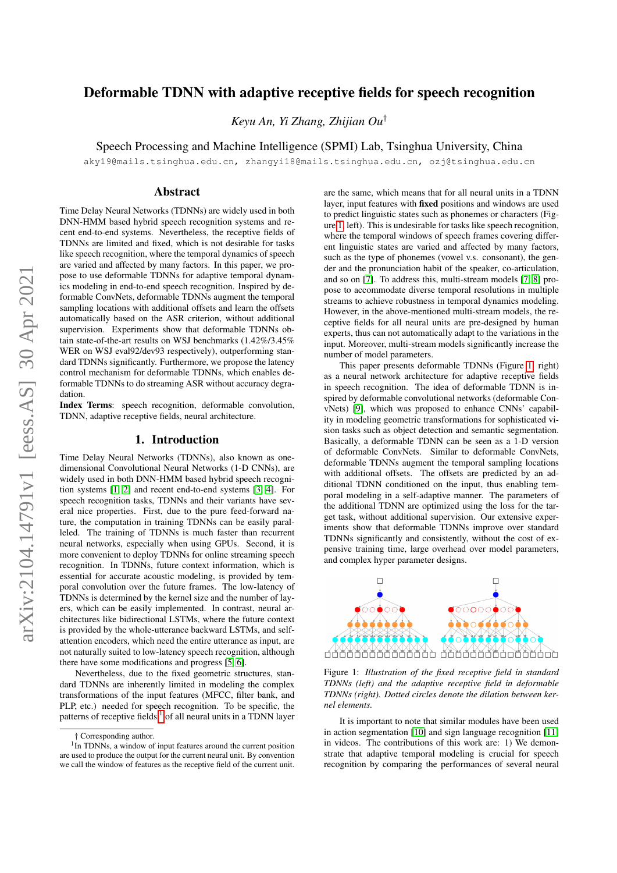# Deformable TDNN with adaptive receptive fields for speech recognition

*Keyu An, Yi Zhang, Zhijian Ou*†

Speech Processing and Machine Intelligence (SPMI) Lab, Tsinghua University, China

aky19@mails.tsinghua.edu.cn, zhangyi18@mails.tsinghua.edu.cn, ozj@tsinghua.edu.cn

### Abstract

Time Delay Neural Networks (TDNNs) are widely used in both DNN-HMM based hybrid speech recognition systems and recent end-to-end systems. Nevertheless, the receptive fields of TDNNs are limited and fixed, which is not desirable for tasks like speech recognition, where the temporal dynamics of speech are varied and affected by many factors. In this paper, we propose to use deformable TDNNs for adaptive temporal dynamics modeling in end-to-end speech recognition. Inspired by deformable ConvNets, deformable TDNNs augment the temporal sampling locations with additional offsets and learn the offsets automatically based on the ASR criterion, without additional supervision. Experiments show that deformable TDNNs obtain state-of-the-art results on WSJ benchmarks (1.42%/3.45% WER on WSJ eval92/dev93 respectively), outperforming standard TDNNs significantly. Furthermore, we propose the latency control mechanism for deformable TDNNs, which enables deformable TDNNs to do streaming ASR without accuracy degradation.

Index Terms: speech recognition, deformable convolution. TDNN, adaptive receptive fields, neural architecture.

# 1. Introduction

Time Delay Neural Networks (TDNNs), also known as onedimensional Convolutional Neural Networks (1-D CNNs), are widely used in both DNN-HMM based hybrid speech recognition systems [\[1,](#page-4-0) [2\]](#page-4-1) and recent end-to-end systems [\[3,](#page-4-2) [4\]](#page-4-3). For speech recognition tasks, TDNNs and their variants have several nice properties. First, due to the pure feed-forward nature, the computation in training TDNNs can be easily paralleled. The training of TDNNs is much faster than recurrent neural networks, especially when using GPUs. Second, it is more convenient to deploy TDNNs for online streaming speech recognition. In TDNNs, future context information, which is essential for accurate acoustic modeling, is provided by temporal convolution over the future frames. The low-latency of TDNNs is determined by the kernel size and the number of layers, which can be easily implemented. In contrast, neural architectures like bidirectional LSTMs, where the future context is provided by the whole-utterance backward LSTMs, and selfattention encoders, which need the entire utterance as input, are not naturally suited to low-latency speech recognition, although there have some modifications and progress [\[5,](#page-4-4) [6\]](#page-4-5).

Nevertheless, due to the fixed geometric structures, standard TDNNs are inherently limited in modeling the complex transformations of the input features (MFCC, filter bank, and PLP, etc.) needed for speech recognition. To be specific, the patterns of receptive fields  $<sup>1</sup>$  $<sup>1</sup>$  $<sup>1</sup>$  of all neural units in a TDNN layer</sup>

are the same, which means that for all neural units in a TDNN layer, input features with fixed positions and windows are used to predict linguistic states such as phonemes or characters (Figure [1,](#page-0-1) left). This is undesirable for tasks like speech recognition, where the temporal windows of speech frames covering different linguistic states are varied and affected by many factors, such as the type of phonemes (vowel v.s. consonant), the gender and the pronunciation habit of the speaker, co-articulation, and so on [\[7\]](#page-4-6). To address this, multi-stream models [\[7,](#page-4-6) [8\]](#page-4-7) propose to accommodate diverse temporal resolutions in multiple streams to achieve robustness in temporal dynamics modeling. However, in the above-mentioned multi-stream models, the receptive fields for all neural units are pre-designed by human experts, thus can not automatically adapt to the variations in the input. Moreover, multi-stream models significantly increase the number of model parameters.

This paper presents deformable TDNNs (Figure [1,](#page-0-1) right) as a neural network architecture for adaptive receptive fields in speech recognition. The idea of deformable TDNN is inspired by deformable convolutional networks (deformable ConvNets) [\[9\]](#page-4-8), which was proposed to enhance CNNs' capability in modeling geometric transformations for sophisticated vision tasks such as object detection and semantic segmentation. Basically, a deformable TDNN can be seen as a 1-D version of deformable ConvNets. Similar to deformable ConvNets, deformable TDNNs augment the temporal sampling locations with additional offsets. The offsets are predicted by an additional TDNN conditioned on the input, thus enabling temporal modeling in a self-adaptive manner. The parameters of the additional TDNN are optimized using the loss for the target task, without additional supervision. Our extensive experiments show that deformable TDNNs improve over standard TDNNs significantly and consistently, without the cost of expensive training time, large overhead over model parameters, and complex hyper parameter designs.

<span id="page-0-1"></span>

Figure 1: *Illustration of the fixed receptive field in standard TDNNs (left) and the adaptive receptive field in deformable TDNNs (right). Dotted circles denote the dilation between kernel elements.*

It is important to note that similar modules have been used in action segmentation [\[10\]](#page-4-9) and sign language recognition [\[11\]](#page-4-10) in videos. The contributions of this work are: 1) We demonstrate that adaptive temporal modeling is crucial for speech recognition by comparing the performances of several neural

<span id="page-0-0"></span><sup>†</sup> Corresponding author.

<sup>&</sup>lt;sup>1</sup> In TDNNs, a window of input features around the current position are used to produce the output for the current neural unit. By convention we call the window of features as the receptive field of the current unit.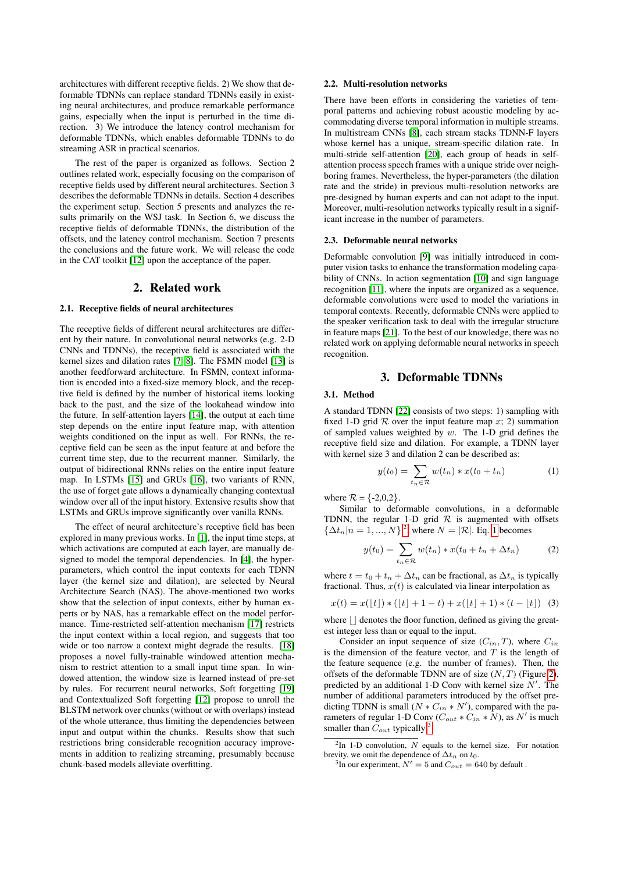architectures with different receptive fields. 2) We show that deformable TDNNs can replace standard TDNNs easily in existing neural architectures, and produce remarkable performance gains, especially when the input is perturbed in the time direction. 3) We introduce the latency control mechanism for deformable TDNNs, which enables deformable TDNNs to do streaming ASR in practical scenarios.

The rest of the paper is organized as follows. Section 2 outlines related work, especially focusing on the comparison of receptive fields used by different neural architectures. Section 3 describes the deformable TDNNs in details. Section 4 describes the experiment setup. Section 5 presents and analyzes the results primarily on the WSJ task. In Section 6, we discuss the receptive fields of deformable TDNNs, the distribution of the offsets, and the latency control mechanism. Section 7 presents the conclusions and the future work. We will release the code in the CAT toolkit [\[12\]](#page-4-11) upon the acceptance of the paper.

### 2. Related work

#### 2.1. Receptive fields of neural architectures

The receptive fields of different neural architectures are different by their nature. In convolutional neural networks (e.g. 2-D CNNs and TDNNs), the receptive field is associated with the kernel sizes and dilation rates [\[7,](#page-4-6) [8\]](#page-4-7). The FSMN model [\[13\]](#page-4-12) is another feedforward architecture. In FSMN, context information is encoded into a fixed-size memory block, and the receptive field is defined by the number of historical items looking back to the past, and the size of the lookahead window into the future. In self-attention layers [\[14\]](#page-4-13), the output at each time step depends on the entire input feature map, with attention weights conditioned on the input as well. For RNNs, the receptive field can be seen as the input feature at and before the current time step, due to the recurrent manner. Similarly, the output of bidirectional RNNs relies on the entire input feature map. In LSTMs [\[15\]](#page-4-14) and GRUs [\[16\]](#page-4-15), two variants of RNN, the use of forget gate allows a dynamically changing contextual window over all of the input history. Extensive results show that LSTMs and GRUs improve significantly over vanilla RNNs.

The effect of neural architecture's receptive field has been explored in many previous works. In [\[1\]](#page-4-0), the input time steps, at which activations are computed at each layer, are manually designed to model the temporal dependencies. In [\[4\]](#page-4-3), the hyperparameters, which control the input contexts for each TDNN layer (the kernel size and dilation), are selected by Neural Architecture Search (NAS). The above-mentioned two works show that the selection of input contexts, either by human experts or by NAS, has a remarkable effect on the model performance. Time-restricted self-attention mechanism [\[17\]](#page-4-16) restricts the input context within a local region, and suggests that too wide or too narrow a context might degrade the results. [\[18\]](#page-4-17) proposes a novel fully-trainable windowed attention mechanism to restrict attention to a small input time span. In windowed attention, the window size is learned instead of pre-set by rules. For recurrent neural networks, Soft forgetting [\[19\]](#page-4-18) and Contextualized Soft forgetting [\[12\]](#page-4-11) propose to unroll the BLSTM network over chunks (without or with overlaps) instead of the whole utterance, thus limiting the dependencies between input and output within the chunks. Results show that such restrictions bring considerable recognition accuracy improvements in addition to realizing streaming, presumably because chunk-based models alleviate overfitting.

### 2.2. Multi-resolution networks

There have been efforts in considering the varieties of temporal patterns and achieving robust acoustic modeling by accommodating diverse temporal information in multiple streams. In multistream CNNs [\[8\]](#page-4-7), each stream stacks TDNN-F layers whose kernel has a unique, stream-specific dilation rate. In multi-stride self-attention [\[20\]](#page-4-19), each group of heads in selfattention process speech frames with a unique stride over neighboring frames. Nevertheless, the hyper-parameters (the dilation rate and the stride) in previous multi-resolution networks are pre-designed by human experts and can not adapt to the input. Moreover, multi-resolution networks typically result in a significant increase in the number of parameters.

#### 2.3. Deformable neural networks

Deformable convolution [\[9\]](#page-4-8) was initially introduced in computer vision tasks to enhance the transformation modeling capability of CNNs. In action segmentation [\[10\]](#page-4-9) and sign language recognition [\[11\]](#page-4-10), where the inputs are organized as a sequence, deformable convolutions were used to model the variations in temporal contexts. Recently, deformable CNNs were applied to the speaker verification task to deal with the irregular structure in feature maps [\[21\]](#page-4-20). To the best of our knowledge, there was no related work on applying deformable neural networks in speech recognition.

### 3. Deformable TDNNs

#### 3.1. Method

A standard TDNN [\[22\]](#page-4-21) consists of two steps: 1) sampling with fixed 1-D grid  $R$  over the input feature map x; 2) summation of sampled values weighted by  $w$ . The 1-D grid defines the receptive field size and dilation. For example, a TDNN layer with kernel size 3 and dilation 2 can be described as:

<span id="page-1-1"></span>
$$
y(t_0) = \sum_{t_n \in \mathcal{R}} w(t_n) * x(t_0 + t_n)
$$
 (1)

where  $R = \{-2, 0, 2\}$ .

Similar to deformable convolutions, in a deformable TDNN, the regular 1-D grid  $R$  is augmented with offsets  $\{\Delta t_n | n = 1, ..., N\}^2$  $\{\Delta t_n | n = 1, ..., N\}^2$ , where  $N = |\mathcal{R}|$ . Eq. [1](#page-1-1) becomes

$$
y(t_0) = \sum_{t_n \in \mathcal{R}} w(t_n) * x(t_0 + t_n + \Delta t_n)
$$
 (2)

where  $t = t_0 + t_n + \Delta t_n$  can be fractional, as  $\Delta t_n$  is typically fractional. Thus,  $x(t)$  is calculated via linear interpolation as

$$
x(t) = x(\lfloor t \rfloor) * (\lfloor t \rfloor + 1 - t) + x(\lfloor t \rfloor + 1) * (t - \lfloor t \rfloor) \tag{3}
$$

where  $\vert \vert$  denotes the floor function, defined as giving the greatest integer less than or equal to the input.

Consider an input sequence of size  $(C_{in}, T)$ , where  $C_{in}$ is the dimension of the feature vector, and  $T$  is the length of the feature sequence (e.g. the number of frames). Then, the offsets of the deformable TDNN are of size  $(N, T)$  (Figure [2\)](#page-2-0), predicted by an additional 1-D Conv with kernel size  $N'$ . The number of additional parameters introduced by the offset predicting TDNN is small  $(N * C_{in} * N')$ , compared with the parameters of regular 1-D Conv ( $C_{out} * C_{in} * N$ ), as  $N'$  is much smaller than  $C_{out}$  typically <sup>[3](#page-1-2)</sup>.

<span id="page-1-0"></span> ${}^{2}$ In 1-D convolution, N equals to the kernel size. For notation brevity, we omit the dependence of  $\Delta t_n$  on  $t_0$ .

<span id="page-1-2"></span><sup>&</sup>lt;sup>3</sup>In our experiment,  $N' = 5$  and  $C_{out} = 640$  by default.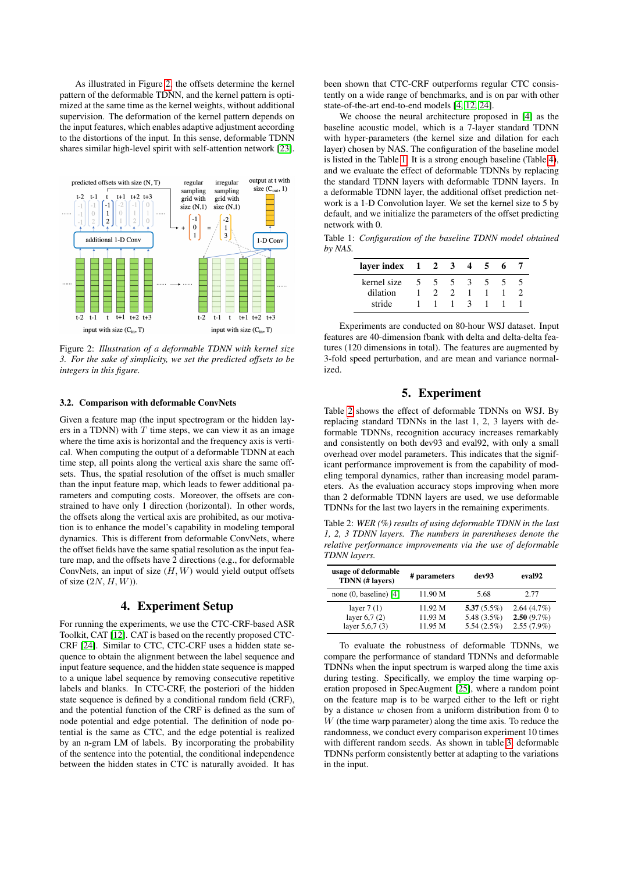As illustrated in Figure [2,](#page-2-0) the offsets determine the kernel pattern of the deformable TDNN, and the kernel pattern is optimized at the same time as the kernel weights, without additional supervision. The deformation of the kernel pattern depends on the input features, which enables adaptive adjustment according to the distortions of the input. In this sense, deformable TDNN shares similar high-level spirit with self-attention network [\[23\]](#page-4-22).

<span id="page-2-0"></span>

Figure 2: *Illustration of a deformable TDNN with kernel size 3. For the sake of simplicity, we set the predicted offsets to be integers in this figure.*

#### 3.2. Comparison with deformable ConvNets

Given a feature map (the input spectrogram or the hidden layers in a TDNN) with  $T$  time steps, we can view it as an image where the time axis is horizontal and the frequency axis is vertical. When computing the output of a deformable TDNN at each time step, all points along the vertical axis share the same offsets. Thus, the spatial resolution of the offset is much smaller than the input feature map, which leads to fewer additional parameters and computing costs. Moreover, the offsets are constrained to have only 1 direction (horizontal). In other words, the offsets along the vertical axis are prohibited, as our motivation is to enhance the model's capability in modeling temporal dynamics. This is different from deformable ConvNets, where the offset fields have the same spatial resolution as the input feature map, and the offsets have 2 directions (e.g., for deformable ConvNets, an input of size  $(H, W)$  would yield output offsets of size  $(2N, H, W)$ ).

## 4. Experiment Setup

For running the experiments, we use the CTC-CRF-based ASR Toolkit, CAT [\[12\]](#page-4-11). CAT is based on the recently proposed CTC-CRF [\[24\]](#page-4-23). Similar to CTC, CTC-CRF uses a hidden state sequence to obtain the alignment between the label sequence and input feature sequence, and the hidden state sequence is mapped to a unique label sequence by removing consecutive repetitive labels and blanks. In CTC-CRF, the posteriori of the hidden state sequence is defined by a conditional random field (CRF), and the potential function of the CRF is defined as the sum of node potential and edge potential. The definition of node potential is the same as CTC, and the edge potential is realized by an n-gram LM of labels. By incorporating the probability of the sentence into the potential, the conditional independence between the hidden states in CTC is naturally avoided. It has been shown that CTC-CRF outperforms regular CTC consistently on a wide range of benchmarks, and is on par with other state-of-the-art end-to-end models [\[4,](#page-4-3) [12,](#page-4-11) [24\]](#page-4-23).

We choose the neural architecture proposed in [\[4\]](#page-4-3) as the baseline acoustic model, which is a 7-layer standard TDNN with hyper-parameters (the kernel size and dilation for each layer) chosen by NAS. The configuration of the baseline model is listed in the Table [1.](#page-2-1) It is a strong enough baseline (Table [4\)](#page-3-0), and we evaluate the effect of deformable TDNNs by replacing the standard TDNN layers with deformable TDNN layers. In a deformable TDNN layer, the additional offset prediction network is a 1-D Convolution layer. We set the kernel size to 5 by default, and we initialize the parameters of the offset predicting network with 0.

<span id="page-2-1"></span>Table 1: *Configuration of the baseline TDNN model obtained by NAS.*

| layer index |               | $\mathbf{2}$ | -3 |   | ÷. | h |  |
|-------------|---------------|--------------|----|---|----|---|--|
| kernel size | $\mathcal{L}$ | $\gamma$     | ╮  | 3 | ּר |   |  |
| dilation    |               |              |    |   |    |   |  |
| stride      |               |              |    | 3 |    |   |  |

Experiments are conducted on 80-hour WSJ dataset. Input features are 40-dimension fbank with delta and delta-delta features (120 dimensions in total). The features are augmented by 3-fold speed perturbation, and are mean and variance normalized.

# 5. Experiment

Table [2](#page-2-2) shows the effect of deformable TDNNs on WSJ. By replacing standard TDNNs in the last 1, 2, 3 layers with deformable TDNNs, recognition accuracy increases remarkably and consistently on both dev93 and eval92, with only a small overhead over model parameters. This indicates that the significant performance improvement is from the capability of modeling temporal dynamics, rather than increasing model parameters. As the evaluation accuracy stops improving when more than 2 deformable TDNN layers are used, we use deformable TDNNs for the last two layers in the remaining experiments.

<span id="page-2-2"></span>Table 2: *WER (%) results of using deformable TDNN in the last 1, 2, 3 TDNN layers. The numbers in parentheses denote the relative performance improvements via the use of deformable TDNN layers.*

| usage of deformable<br>TDNN (# lavers)             | # parameters                  | dev93                                          | eval92                                    |
|----------------------------------------------------|-------------------------------|------------------------------------------------|-------------------------------------------|
| none $(0, baseline)$ [4]                           | 11.90 M                       | 5.68                                           | 2.77                                      |
| layer $7(1)$<br>layer $6,7(2)$<br>layer $5,6,7(3)$ | 11.92 M<br>11.93 M<br>11.95 M | 5.37 $(5.5\%)$<br>5.48 $(3.5\%)$<br>5.54(2.5%) | 2.64(4.7%)<br>2.50(9.7%)<br>$2.55(7.9\%)$ |

To evaluate the robustness of deformable TDNNs, we compare the performance of standard TDNNs and deformable TDNNs when the input spectrum is warped along the time axis during testing. Specifically, we employ the time warping operation proposed in SpecAugment [\[25\]](#page-4-24), where a random point on the feature map is to be warped either to the left or right by a distance  $w$  chosen from a uniform distribution from 0 to  $W$  (the time warp parameter) along the time axis. To reduce the randomness, we conduct every comparison experiment 10 times with different random seeds. As shown in table [3,](#page-3-1) deformable TDNNs perform consistently better at adapting to the variations in the input.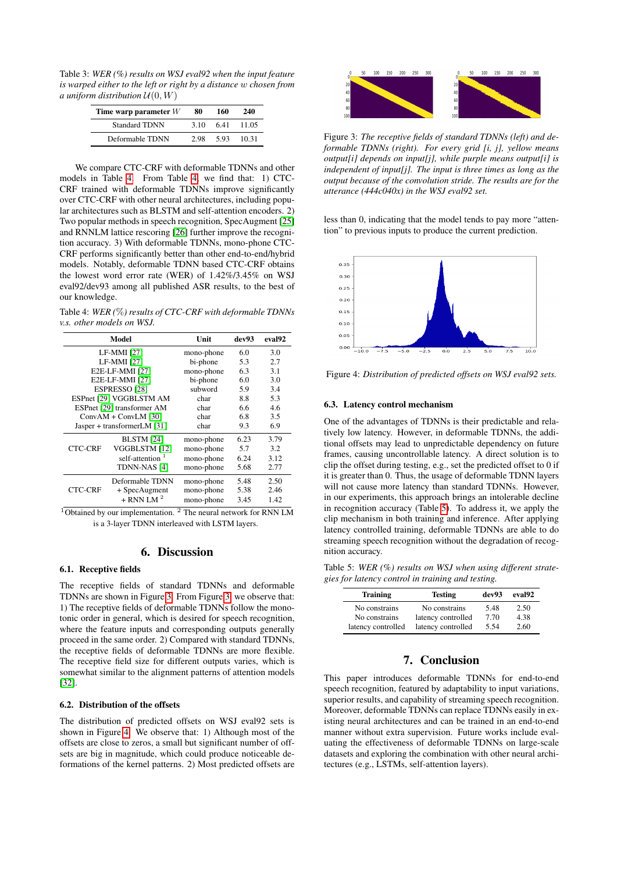<span id="page-3-1"></span>Table 3: *WER (%) results on WSJ eval92 when the input feature is warped either to the left or right by a distance* w *chosen from a* uniform distribution  $U(0, W)$ 

| Time warp parameter $W$ | 80   | 160 | 240   |
|-------------------------|------|-----|-------|
| <b>Standard TDNN</b>    | 3.10 | 641 | 11.05 |
| Deformable TDNN         | 2.98 | 593 | 10.31 |

We compare CTC-CRF with deformable TDNNs and other models in Table [4.](#page-3-0) From Table [4,](#page-3-0) we find that: 1) CTC-CRF trained with deformable TDNNs improve significantly over CTC-CRF with other neural architectures, including popular architectures such as BLSTM and self-attention encoders. 2) Two popular methods in speech recognition, SpecAugment [\[25\]](#page-4-24) and RNNLM lattice rescoring [\[26\]](#page-4-25) further improve the recognition accuracy. 3) With deformable TDNNs, mono-phone CTC-CRF performs significantly better than other end-to-end/hybrid models. Notably, deformable TDNN based CTC-CRF obtains the lowest word error rate (WER) of 1.42%/3.45% on WSJ eval92/dev93 among all published ASR results, to the best of our knowledge.

<span id="page-3-0"></span>Table 4: *WER (*%*) results of CTC-CRF with deformable TDNNs v.s. other models on WSJ.*

| Model                       |                             | Unit       | dev93 | eval <sub>92</sub> |
|-----------------------------|-----------------------------|------------|-------|--------------------|
| LF-MMI [27]                 |                             | mono-phone | 6.0   | 3.0                |
|                             | <b>LF-MMI</b> [27]          | bi-phone   | 5.3   | 2.7                |
|                             | E2E-LF-MMI [27]             | mono-phone | 6.3   | 3.1                |
|                             | E2E-LF-MMI [27]             |            | 6.0   | 3.0                |
| ESPRESSO <sub>[28]</sub>    |                             | subword    | 5.9   | 3.4                |
| ESPnet [29] VGGBLSTM AM     |                             | char       | 8.8   | 5.3                |
|                             | ESPnet [29] transformer AM  |            | 6.6   | 4.6                |
|                             | $ConvAM + ConvLM$ [30]      |            | 6.8   | 3.5                |
| Jasper + transformerLM [31] |                             | char       | 9.3   | 6.9                |
|                             | <b>BLSTM</b> [24]           | mono-phone | 6.23  | 3.79               |
| <b>CTC-CRF</b>              | VGGBLSTM [12]               | mono-phone | 5.7   | 3.2                |
|                             | self-attention <sup>1</sup> | mono-phone | 6.24  | 3.12               |
|                             | TDNN-NAS [4]                | mono-phone | 5.68  | 2.77               |
|                             | Deformable TDNN             | mono-phone | 5.48  | 2.50               |
| <b>CTC-CRF</b>              | + SpecAugment               | mono-phone | 5.38  | 2.46               |
|                             | $+$ RNN LM $2$              | mono-phone | 3.45  | 1.42               |

<sup>1</sup>Obtained by our implementation. <sup>2</sup> The neural network for RNN LM is a 3-layer TDNN interleaved with LSTM layers.

### 6. Discussion

#### 6.1. Receptive fields

The receptive fields of standard TDNNs and deformable TDNNs are shown in Figure [3.](#page-3-2) From Figure [3,](#page-3-2) we observe that: 1) The receptive fields of deformable TDNNs follow the monotonic order in general, which is desired for speech recognition, where the feature inputs and corresponding outputs generally proceed in the same order. 2) Compared with standard TDNNs, the receptive fields of deformable TDNNs are more flexible. The receptive field size for different outputs varies, which is somewhat similar to the alignment patterns of attention models [\[32\]](#page-4-31).

### 6.2. Distribution of the offsets

The distribution of predicted offsets on WSJ eval92 sets is shown in Figure [4.](#page-3-3) We observe that: 1) Although most of the offsets are close to zeros, a small but significant number of offsets are big in magnitude, which could produce noticeable deformations of the kernel patterns. 2) Most predicted offsets are

<span id="page-3-2"></span>

Figure 3: *The receptive fields of standard TDNNs (left) and deformable TDNNs (right). For every grid [i, j], yellow means output[i] depends on input[j], while purple means output[i] is independent of input[j]. The input is three times as long as the output because of the convolution stride. The results are for the utterance (444c040x) in the WSJ eval92 set.*

less than 0, indicating that the model tends to pay more "attention" to previous inputs to produce the current prediction.

<span id="page-3-3"></span>

Figure 4: *Distribution of predicted offsets on WSJ eval92 sets.*

### 6.3. Latency control mechanism

One of the advantages of TDNNs is their predictable and relatively low latency. However, in deformable TDNNs, the additional offsets may lead to unpredictable dependency on future frames, causing uncontrollable latency. A direct solution is to clip the offset during testing, e.g., set the predicted offset to 0 if it is greater than 0. Thus, the usage of deformable TDNN layers will not cause more latency than standard TDNNs. However, in our experiments, this approach brings an intolerable decline in recognition accuracy (Table [5\)](#page-3-4). To address it, we apply the clip mechanism in both training and inference. After applying latency controlled training, deformable TDNNs are able to do streaming speech recognition without the degradation of recognition accuracy.

<span id="page-3-4"></span>Table 5: *WER (%) results on WSJ when using different strategies for latency control in training and testing.*

| <b>Training</b>    | <b>Testing</b>     | dev93 | eval <sub>92</sub> |
|--------------------|--------------------|-------|--------------------|
| No constrains      | No constrains      | 5.48  | 2.50               |
| No constrains      | latency controlled | 7.70  | 4.38               |
| latency controlled | latency controlled | 5.54  | 2.60               |

# 7. Conclusion

This paper introduces deformable TDNNs for end-to-end speech recognition, featured by adaptability to input variations, superior results, and capability of streaming speech recognition. Moreover, deformable TDNNs can replace TDNNs easily in existing neural architectures and can be trained in an end-to-end manner without extra supervision. Future works include evaluating the effectiveness of deformable TDNNs on large-scale datasets and exploring the combination with other neural architectures (e.g., LSTMs, self-attention layers).